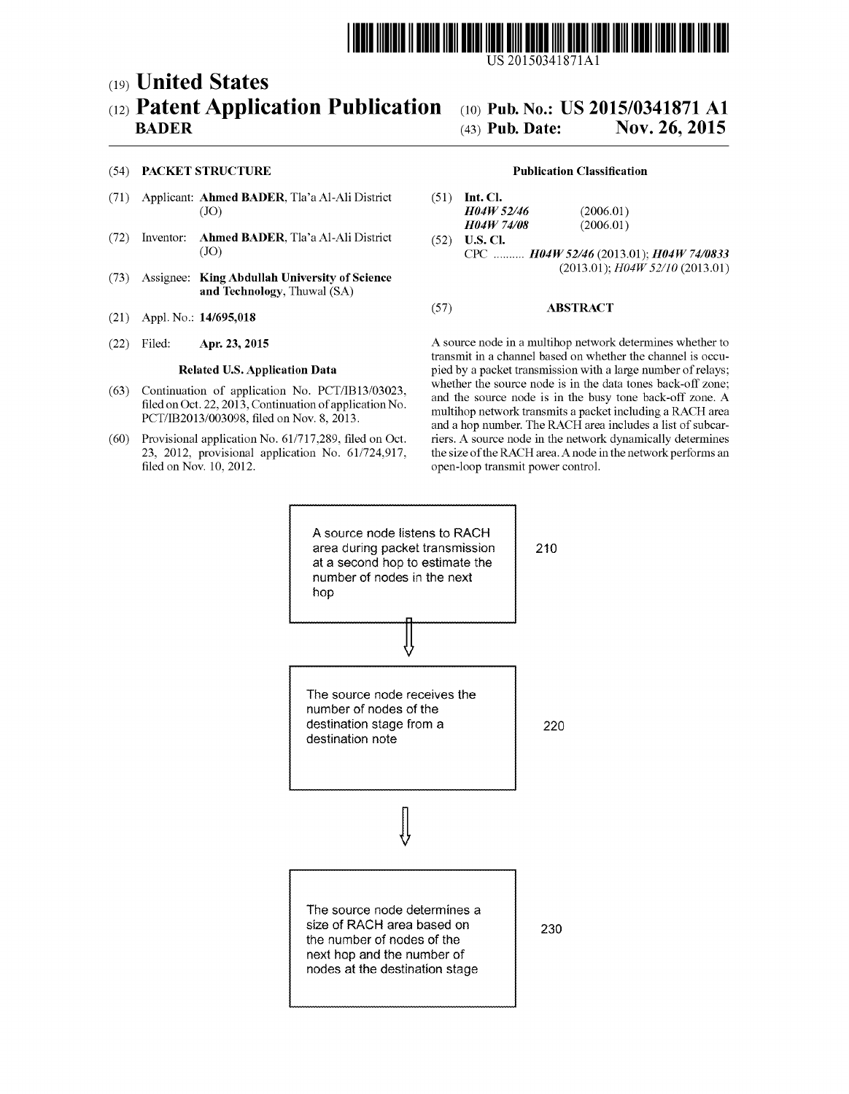

US 2015 0341871 A1

# (19) United States (12) Patent Application Publication (10) Pub. No.: US 2015/0341871 A1 BADER (43) Pub. Date: Nov. 26, 2015

# **Nov. 26, 2015**

# (54) PACKET STRUCTURE Publication Classification

- (71) Applicant: **Ahmed BADER**, Tla'a Al-Ali District (51) Int. Cl. (JO)  $H04W$ :
- (72) Inventor: **Ahmed BADER**, Tla'a Al-Ali District (JO)
- (73) Assignee: King Abdullah University of Science and Technology, Thuwal (SA)
- (21) Appl. No.: 14/695,018
- 

- 
- 23, 2012, provisional application No. 61/724,917, filed on Nov. 10, 2012.

- $H04W$  52/46 (2006.01)<br> $H04W$  74/08 (2006.01)  $H04W$  74/08<br>(52) U.S. Cl.
- CPC ..........  $H04W 52/46 (2013.01); H04W 74/0833$ <br>(2013.01);  $H04W 52/10 (2013.01)$

# (57) ABSTRACT

(22) Filed: Apr. 23, 2015 A source node in a multihop network determines whether to transmit in a channel based on whether the channel is occu Related U.S. Application Data pied by a packet transmission with a large number of relays;<br>whether the source node is in the data tones back-off zone: (63) Continuation of application No. PCT/IB13/03023,<br>filed on Oct. 22, 2013, Continuation of application No.<br>PCT/IB2013/003098, filed on Nov. 8, 2013.<br>(60) Provisional application No. 61/717,289, filed on Oct.<br>The RACH are riers. A source node in the network dynamically determines the size of the RACH area. A node in the network performs an open-loop transmit power control.

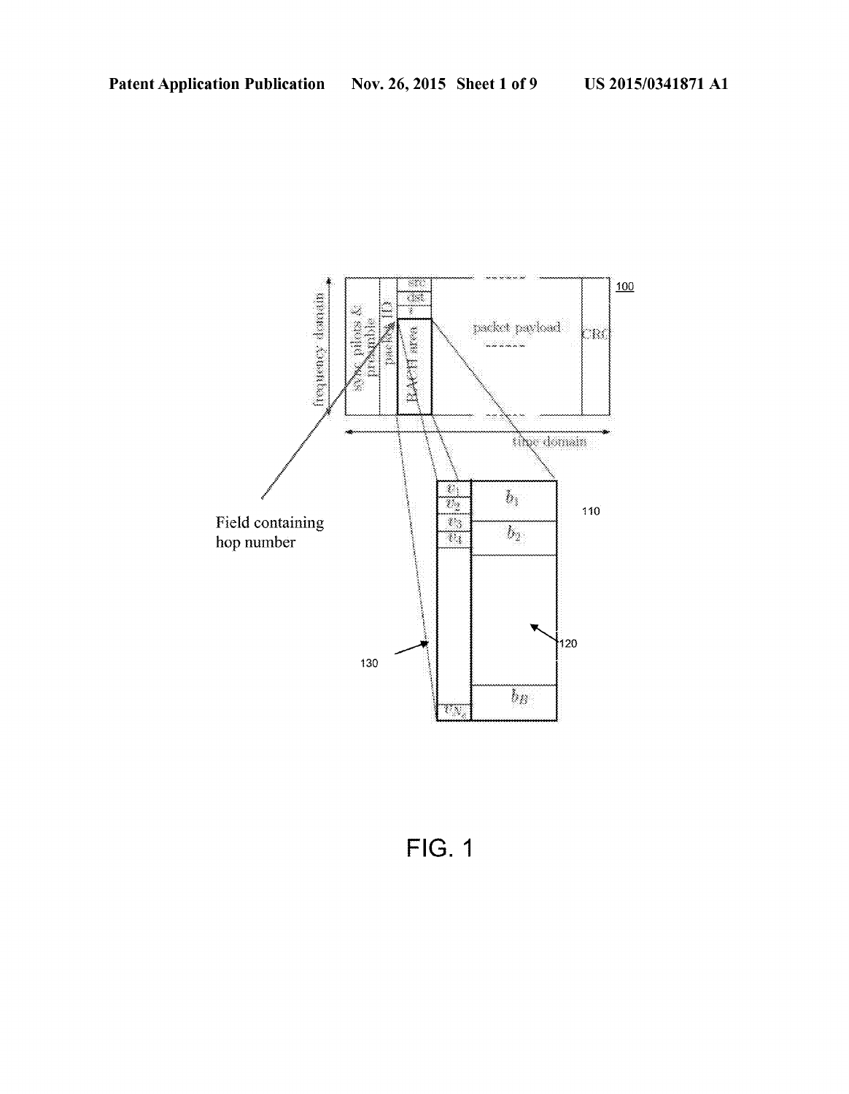

FIG. 1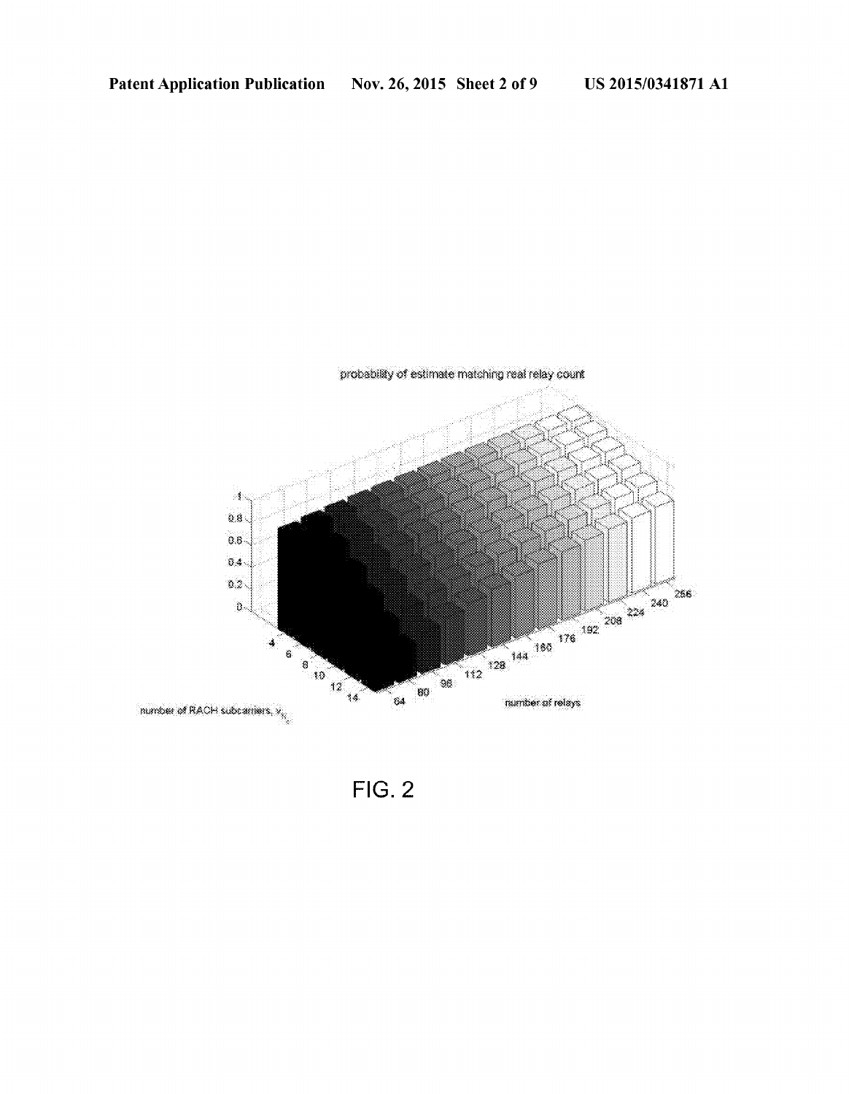

 $FIG. 2$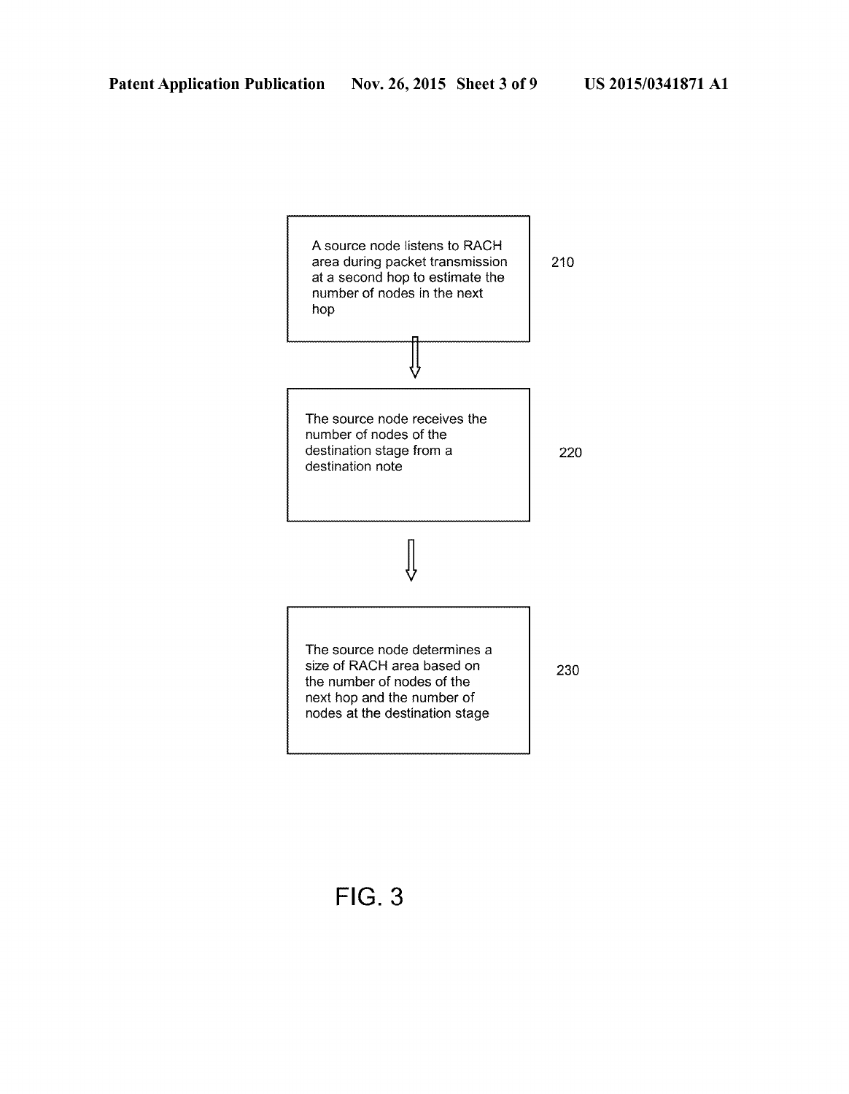

FIG. 3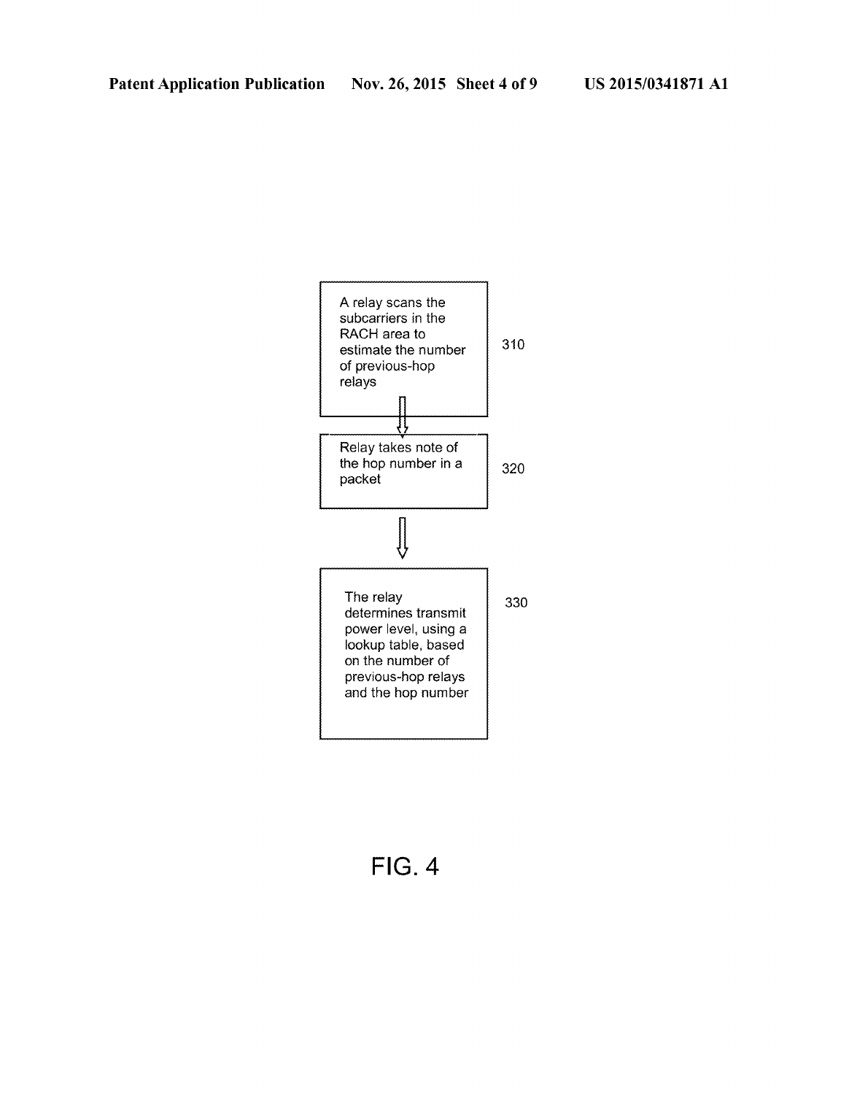

FIG. 4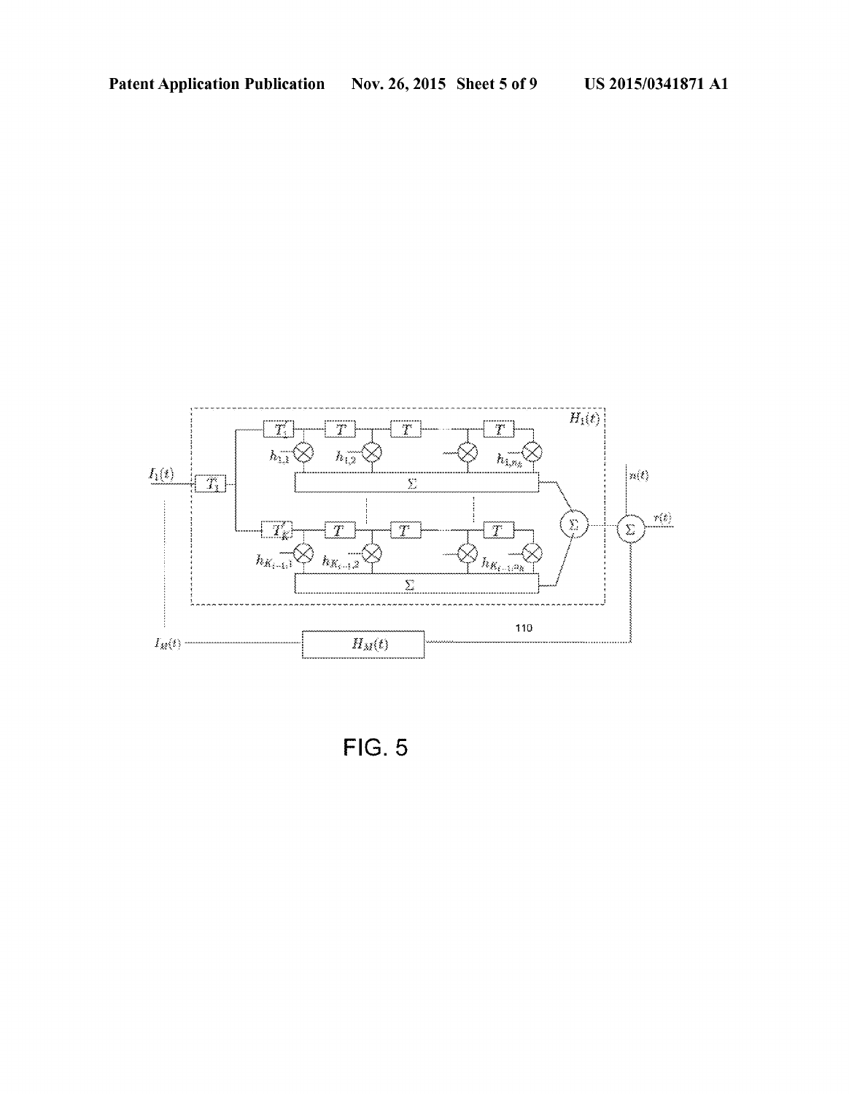

FIG. 5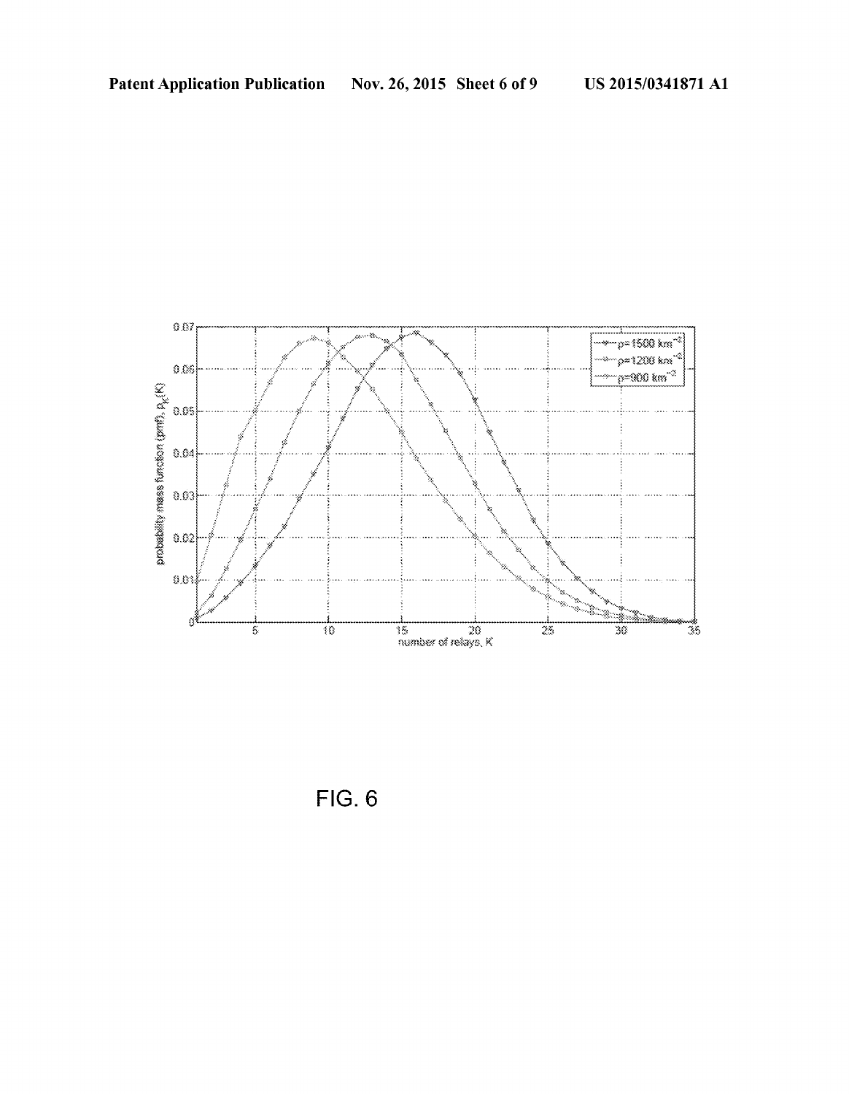

**FIG. 6**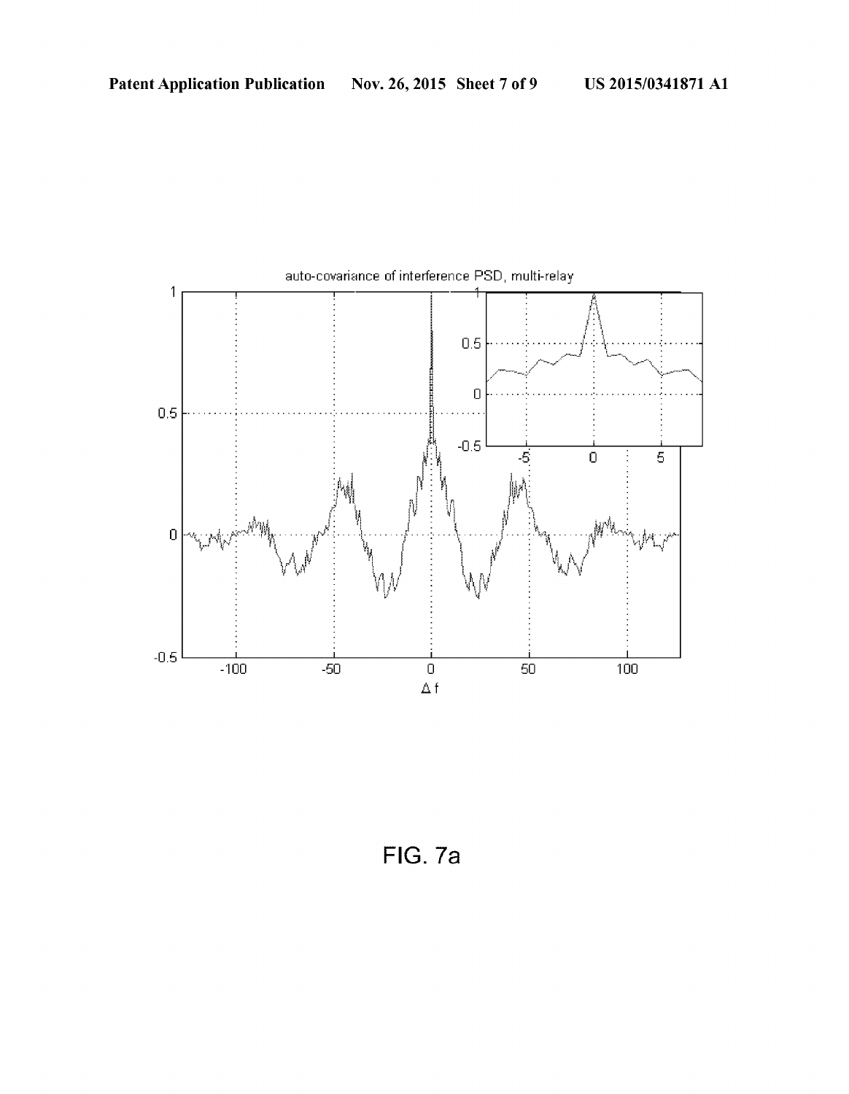

FIG. 7a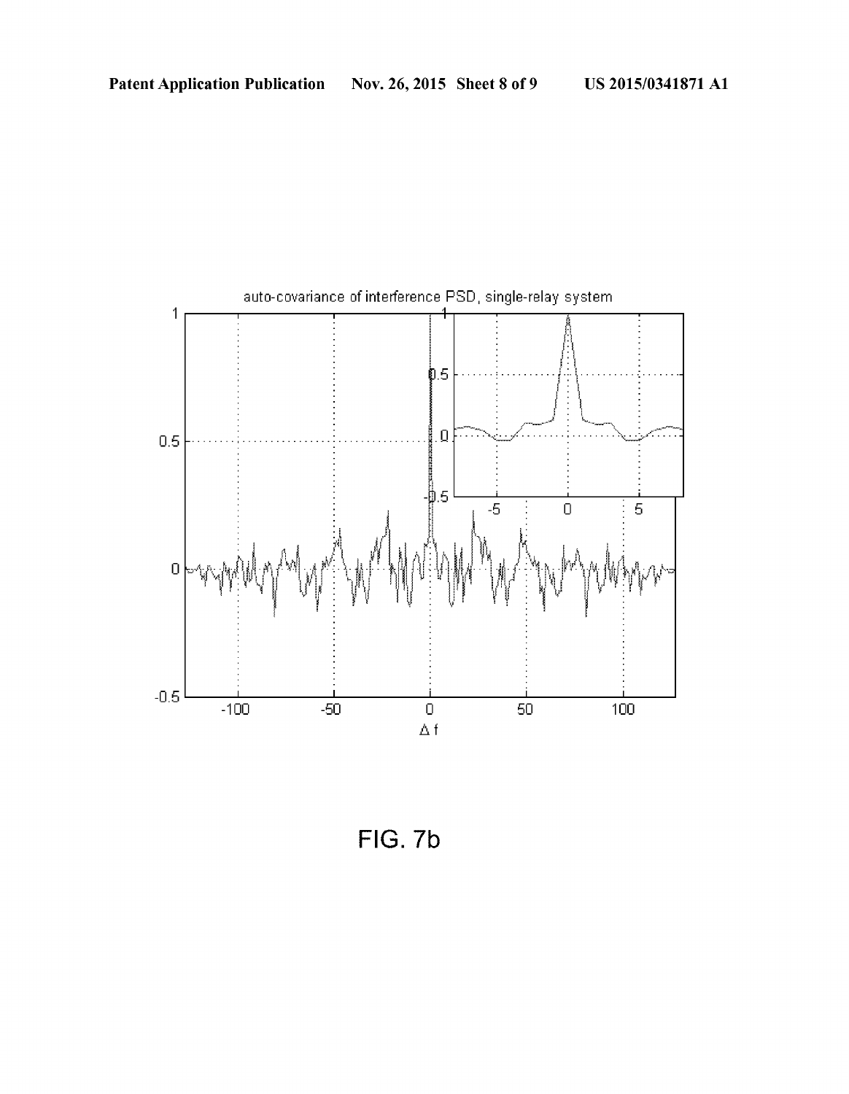

FIG. 7b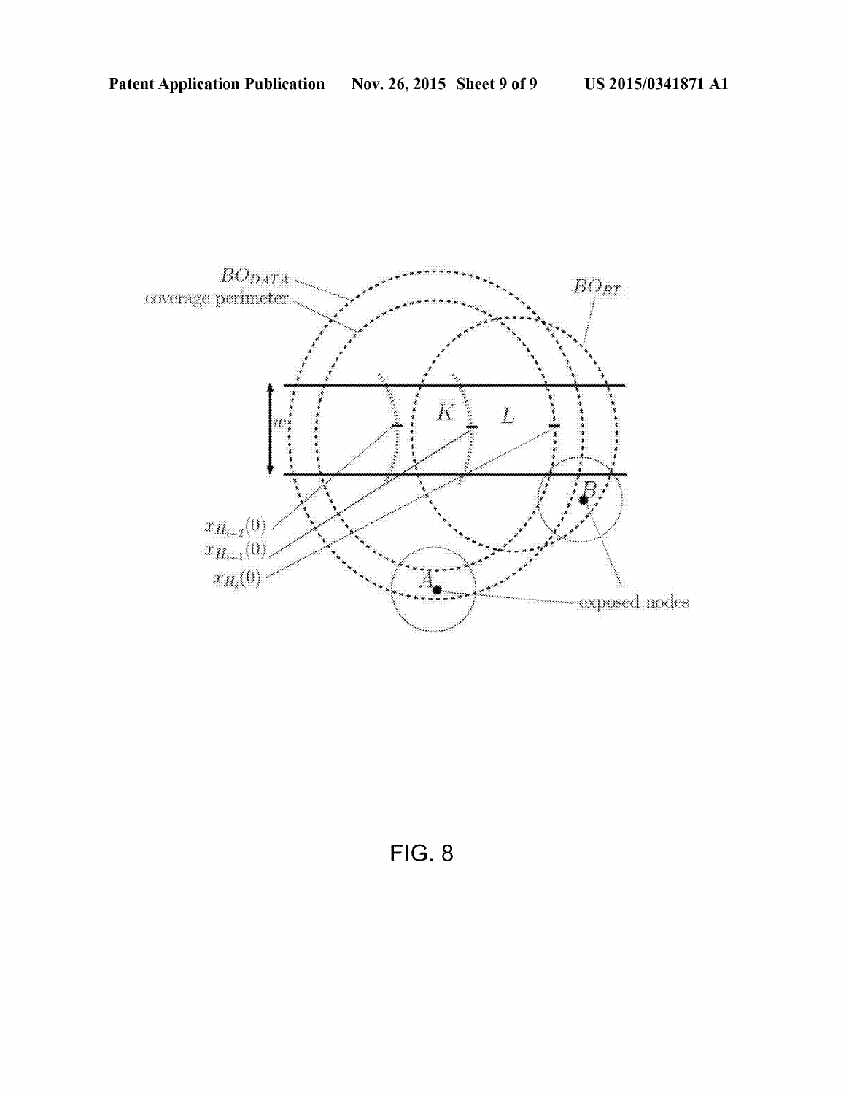

FIG. 8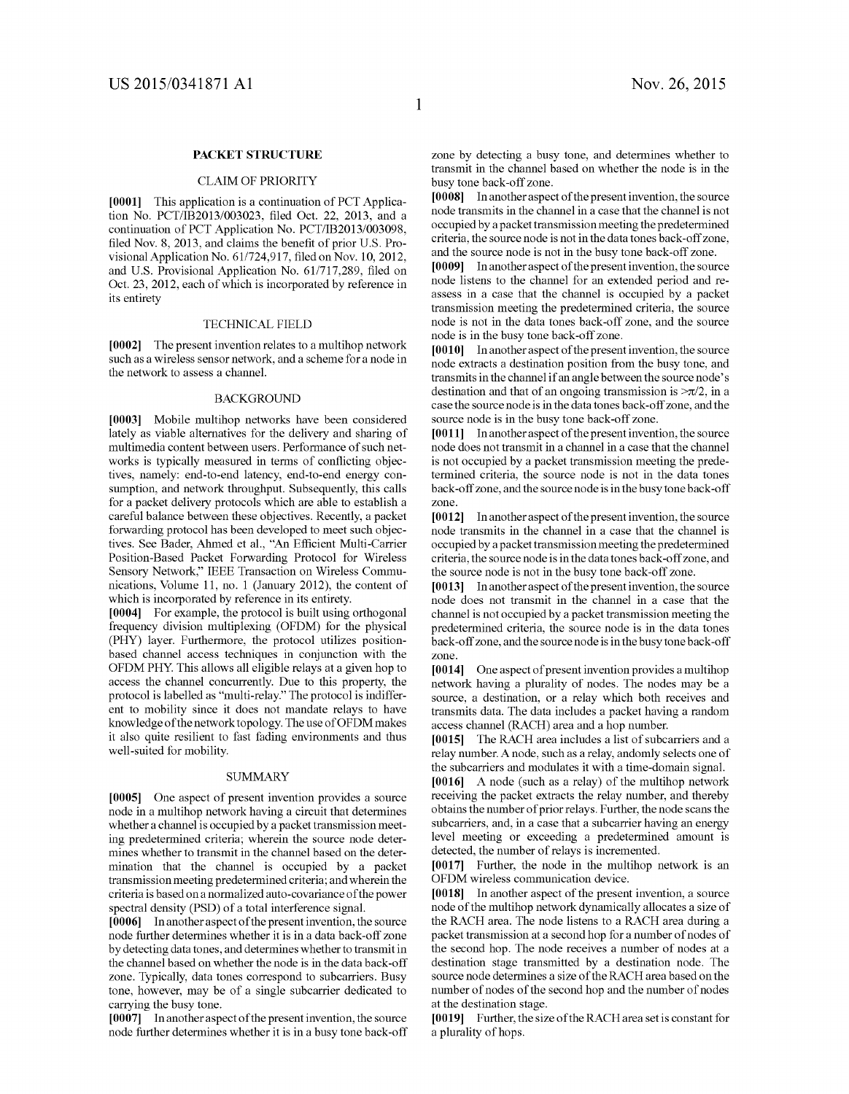# PACKET STRUCTURE

# CLAIM OF PRIORITY

[0001] This application is a continuation of PCT Application No. PCT/IB2013/003023, filed Oct. 22, 2013, and a continuation of PCT Application No. PCT/IB2013/003098, filed Nov. 8, 2013, and claims the benefit of prior U.S. Pro visional Application No. 61/724,917, filed on Nov. 10, 2012, and U.S. Provisional Application No. 61/717,289, filed on Oct. 23, 2012, each of which is incorporated by reference in its entirety

#### TECHNICAL FIELD

[0002] The present invention relates to a multihop network such as a wireless sensor network, and a scheme for a node in the network to assess a channel.

## **BACKGROUND**

[0003] Mobile multihop networks have been considered lately as viable alternatives for the delivery and sharing of multimedia content between users. Performance of such net works is typically measured in terms of conflicting objec tives, namely: end-to-end latency, end-to-end energy con sumption, and network throughput. Subsequently, this calls for a packet delivery protocols which are able to establish a careful balance between these objectives. Recently, a packet forwarding protocol has been developed to meet such objectives. See Bader, Ahmed et al., "An Efficient Multi-Carrier Position-Based Packet Forwarding Protocol for Wireless Sensory Network," IEEE Transaction on Wireless Communications, Volume 11, no. 1 (January 2012), the content of which is incorporated by reference in its entirety.

[0004] For example, the protocol is built using orthogonal frequency division multiplexing (OFDM) for the physical (PHY) layer. Furthermore, the protocol utilizes position based channel access techniques in conjunction with the OFDM PHY. This allows all eligible relays at a given hop to access the channel concurrently. Due to this property, the protocol is labelled as "multi-relay." The protocol is indifferent to mobility since it does not mandate relays to have knowledge of the network topology. The use of OFDM makes it also quite resilient to fast fading environments and thus well-suited for mobility.

#### SUMMARY

[0005] One aspect of present invention provides a source node in a multihop network having a circuit that determines whether a channel is occupied by a packet transmission meet ing predetermined criteria; wherein the source node deter mines whether to transmit in the channel based on the deter-<br>mination that the channel is occupied by a packet transmission meeting predetermined criteria; and wherein the<br>criteria is based on a normalized auto-covariance of the power spectral density (PSD) of a total interference signal.

[0006] In another aspect of the present invention, the source node further determines whether it is in a data back-off Zone by detecting data tones, and determines whether to transmit in the channel based on whether the node is in the data back-off zone. Typically, data tones correspond to subcarriers. Busy tone, however, may be of a single subcarrier dedicated to carrying the busy tone.

[0007] In another aspect of the present invention, the source node further determines whether it is in a busy tone back-off Zone by detecting a busy tone, and determines whether to transmit in the channel based on whether the node is in the busy tone back-off Zone.

[0008] In another aspect of the present invention, the source node transmits in the channel in a case that the channel is not occupied by a packet transmission meeting the predetermined criteria, the source node is not in the data tones back-off Zone, and the source node is not in the busy tone back-off Zone.

[0009] In another aspect of the present invention, the source node listens to the channel for an extended period and re-<br>assess in a case that the channel is occupied by a packet transmission meeting the predetermined criteria, the source node is not in the data tones back-off Zone, and the source node is in the busy tone back-off Zone.

[0010] In another aspect of the present invention, the source node extracts a destination position from the busy tone, and transmits in the channel if an angle between the source node's destination and that of an ongoing transmission is  $\approx \pi/2$ , in a case the Source node is in the data tones back-off Zone, and the source node is in the busy tone back-off zone.

[0011] In another aspect of the present invention, the source node does not transmit in a channel in a case that the channel is not occupied by a packet transmission meeting the prede termined criteria, the source node is not in the data tones back-off zone, and the source node is in the busy tone back-off zone.

[0012] In another aspect of the present invention, the source node transmits in the channel in a case that the channel is occupied by a packet transmission meeting the predetermined criteria, the Source node is in the data tones back-off Zone, and the source node is not in the busy tone back-off Zone.

[0013] In another aspect of the present invention, the source node does not transmit in the channel in a case that the channel is not occupied by a packet transmission meeting the predetermined criteria, the Source node is in the data tones back-off zone, and the source node is in the busy tone back-off zone.

[0014] One aspect of present invention provides a multihop network having a plurality of nodes. The nodes may be a source, a destination, or a relay which both receives and transmits data. The data includes a packet having a random access channel (RACH) area and a hop number.

[0015] The RACH area includes a list of subcarriers and a relay number. A node, such as a relay, andomly selects one of the subcarriers and modulates it with a time-domain signal.

[0016] A node (such as a relay) of the multihop network receiving the packet extracts the relay number, and thereby obtains the number of prior relays. Further, the node scans the level meeting or exceeding a predetermined amount is detected, the number of relays is incremented.

[0017] Further, the node in the multihop network is an OFDM wireless communication device.

[0018] In another aspect of the present invention, a source node of the multihop network dynamically allocates a size of the RACH area. The node listens to a RACH area during a packet transmission at a second hop for a number of nodes of the second hop. The node receives a number of nodes at a destination stage transmitted by a destination node. The source node determines a size of the RACH area based on the number of nodes of the second hop and the number of nodes at the destination stage.

[0019] Further, the size of the RACH area set is constant for a plurality of hops.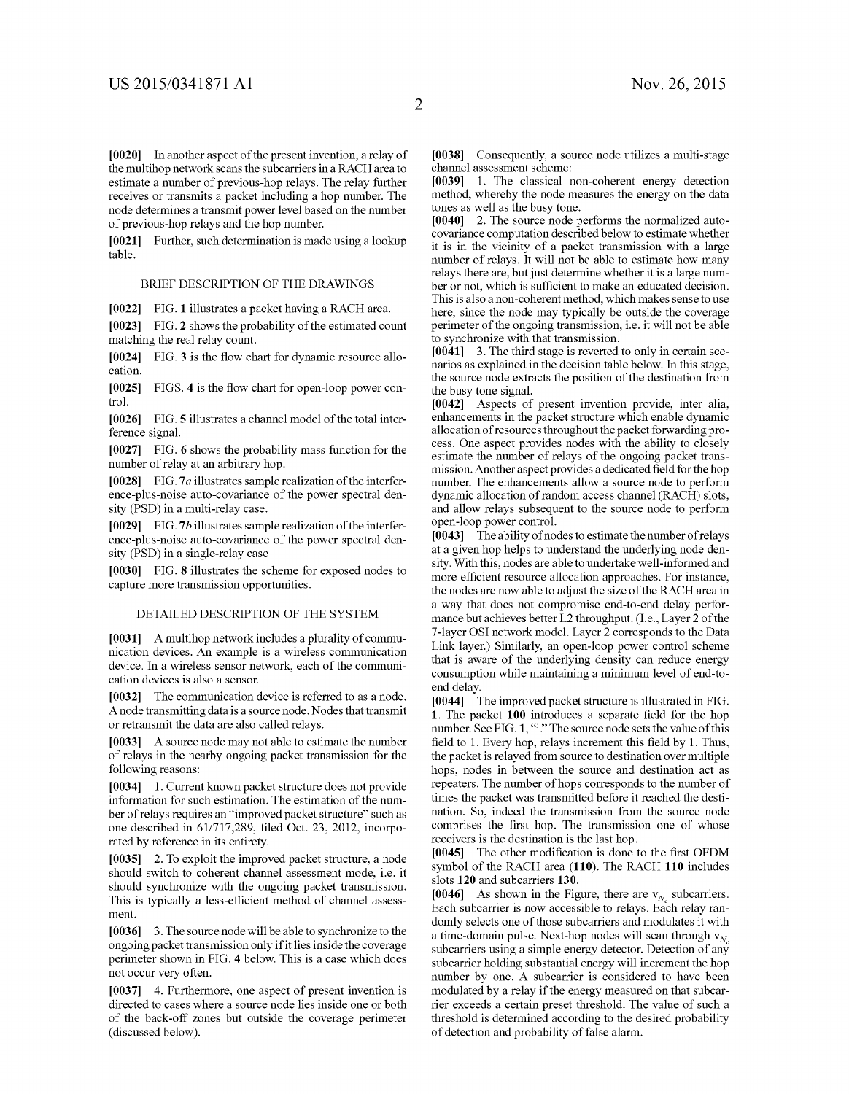[0020] In another aspect of the present invention, a relay of the multihop network scans the subcarriers in a RACH area to estimate a number of previous-hop relays. The relay further receives or transmits a packet including a hop number. The node determines a transmit power level based on the number of previous-hop relays and the hop number.

0021] Further, such determination is made using a lookup table.

#### BRIEF DESCRIPTION OF THE DRAWINGS

[0022] FIG. 1 illustrates a packet having a RACH area.

[0023] FIG. 2 shows the probability of the estimated count matching the real relay count.

[0024] FIG. 3 is the flow chart for dynamic resource allocation.

[0025] FIGS. 4 is the flow chart for open-loop power control.

[0026] FIG. 5 illustrates a channel model of the total interference signal.

[0027] FIG. 6 shows the probability mass function for the number of relay at an arbitrary hop.

[0028] FIG. 7 $a$  illustrates sample realization of the interference-plus-noise auto-covariance of the power spectral den sity (PSD) in a multi-relay case.

[0029] FIG.7b illustrates sample realization of the interference-plus-noise auto-covariance of the power spectral den sity (PSD) in a single-relay case

[0030] FIG. 8 illustrates the scheme for exposed nodes to capture more transmission opportunities.

### DETAILED DESCRIPTION OF THE SYSTEM

[0031] A multihop network includes a plurality of communication devices. An example is a wireless communication device. In a wireless sensor network, each of the communi cation devices is also a sensor.

[0032] The communication device is referred to as a node. A node transmitting data is a source node. Nodes that transmit or retransmit the data are also called relays.

0033. A source node may notable to estimate the number of relays in the nearby ongoing packet transmission for the following reasons:

[0034] 1. Current known packet structure does not provide information for Such estimation. The estimation of the num ber of relays requires an "improved packet structure" such as one described in 61/717,289, filed Oct. 23, 2012, incorporated by reference in its entirety.

[0035] 2. To exploit the improved packet structure, a node should Switch to coherent channel assessment mode, i.e. it should synchronize with the ongoing packet transmission. This is typically a less-efficient method of channel assess ment.

0036 3. The source node will be able to synchronize to the ongoing packet transmission only if it lies inside the coverage perimeter shown in FIG. 4 below. This is a case which does not occur very often.

[0037] 4. Furthermore, one aspect of present invention is directed to cases where a source node lies inside one or both of the back-off Zones but outside the coverage perimeter (discussed below).

[0038] Consequently, a source node utilizes a multi-stage channel assessment scheme:

0039) 1. The classical non-coherent energy detection method, whereby the node measures the energy on the data tones as well as the busy tone.

[0040] 2. The source node performs the normalized autocovariance computation described below to estimate whether it is in the vicinity of a packet transmission with a large number of relays. It will not be able to estimate how many relays there are, but just determine whether it is a large number or not, which is sufficient to make an educated decision. This is also a non-coherent method, which makes sense to use<br>here, since the node may typically be outside the coverage perimeter of the ongoing transmission, i.e. it will not be able to synchronize with that transmission.

 $[0041]$  3. The third stage is reverted to only in certain scenarios as explained in the decision table below. In this stage, the source node extracts the position of the destination from the busy tone signal.

[0042] Aspects of present invention provide, inter alia, enhancements in the packet structure which enable dynamic allocation of resources throughout the packet forwarding process. One aspect provides nodes with the ability to closely estimate the number of relays of the ongoing packet transmission. Another aspect provides a dedicated field for the hop dynamic allocation of random access channel (RACH) slots, and allow relays subsequent to the source node to perform open-loop power control.

[0043] The ability of nodes to estimate the number of relays at a given hop helps to understand the underlying node den sity. With this, nodes are able to undertake well-informed and more efficient resource allocation approaches. For instance, the nodes are now able to adjust the size of the RACH area in a way that does not compromise end-to-end delay perfor mance but achieves better L2 throughput. (I.e., Layer 2 of the 7-layer OSI network model. Layer 2 corresponds to the Data Link layer.) Similarly, an open-loop power control scheme that is aware of the underlying density can reduce energy consumption while maintaining a minimum level of end-to end delay.

0044) The improved packet structure is illustrated in FIG. 1. The packet 100 introduces a separate field for the hop number. See FIG. 1, "i." The source node sets the value of this field to 1. Every hop, relays increment this field by 1. Thus, the packet is relayed from Source to destination over multiple hops, nodes in between the source and destination act as repeaters. The number of hops corresponds to the number of times the packet was transmitted before it reached the desti nation. So, indeed the transmission from the source node comprises the first hop. The transmission one of whose receivers is the destination is the last hop.

[0045] The other modification is done to the first OFDM symbol of the RACH area (110). The RACH 110 includes slots 120 and subcarriers 130.

[0046] As shown in the Figure, there are  $v_N$  subcarriers. Each subcarrier is now accessible to relays. Each relay ran domly selects one of those subcarriers and modulates it with a time-domain pulse. Next-hop nodes will scan through  $v_{N_A}$ subcarriers using a simple energy detector. Detection of any subcarrier holding substantial energy will increment the hop number by one. A subcarrier is considered to have been modulated by a relay if the energy measured on that subcarrier exceeds a certain preset threshold. The value of such a threshold is determined according to the desired probability of detection and probability of false alarm.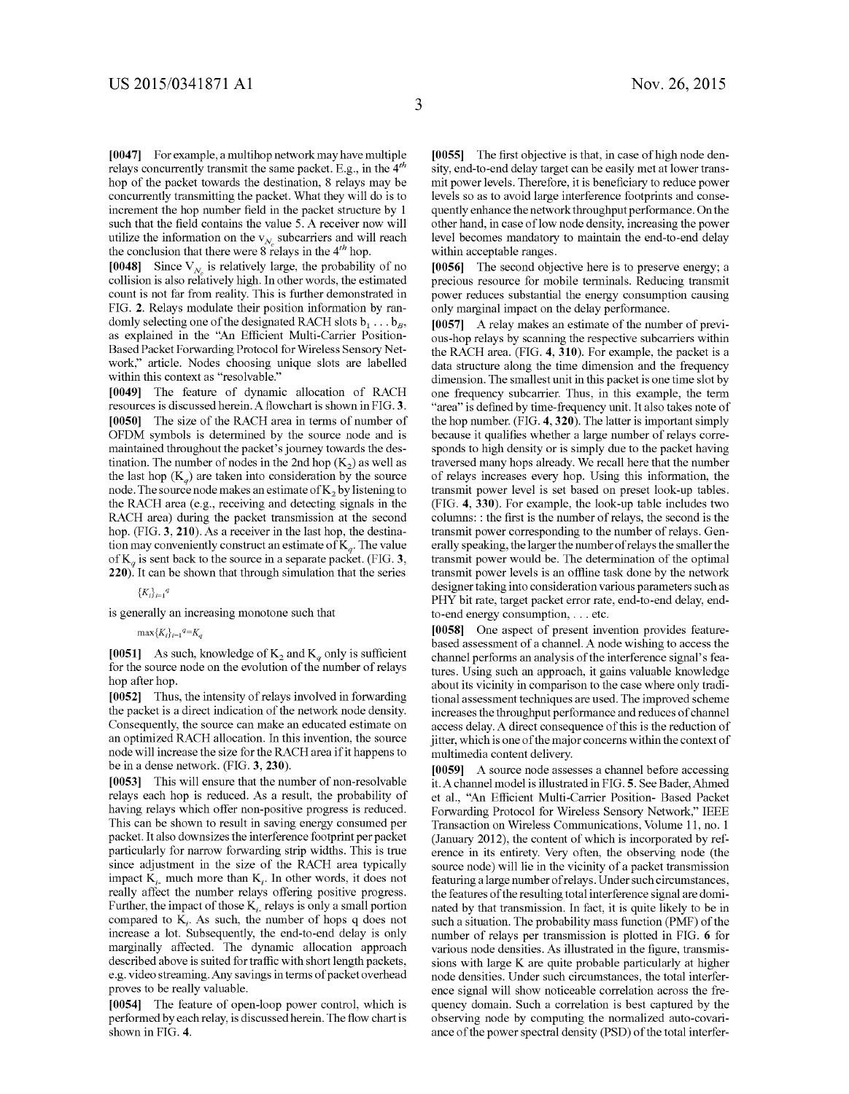[0047] For example, a multihop network may have multiple relays concurrently transmit the same packet. E.g., in the  $4<sup>th</sup>$ hop of the packet towards the destination, 8 relays may be concurrently transmitting the packet. What they will do is to increment the hop number field in the packet structure by 1 such that the field contains the value 5. A receiver now will utilize the information on the  $v_{N_c}$  subcarriers and will reach the conclusion that there were 8 relays in the  $4<sup>th</sup>$  hop.

[0048] Since  $V_N$  is relatively large, the probability of no collision is also relatively high. In other words, the estimated count is not far from reality. This is further demonstrated in FIG. 2. Relays modulate their position information by ran domly selecting one of the designated RACH slots  $b_1 \ldots b_R$ , as explained in the "An Efficient Multi-Carrier Position Based Packet Forwarding Protocol for Wireless Sensory Net work," article. Nodes choosing unique slots are labelled within this context as "resolvable."

0049. The feature of dynamic allocation of RACH resources is discussed herein. A flowchart is shown in FIG.3. [0050] The size of the RACH area in terms of number of OFDM symbols is determined by the source node and is maintained throughout the packet's journey towards the des tination. The number of nodes in the 2nd hop  $(K_2)$  as well as the last hop  $(K_a)$  are taken into consideration by the source node. The source node makes an estimate of  $K<sub>2</sub>$  by listening to the RACH area (e.g., receiving and detecting signals in the RACH area) during the packet transmission at the second hop. (FIG. 3, 210). As a receiver in the last hop, the destination may conveniently construct an estimate of  $K_g$ . The value of  $K_g$  is sent back to the source in a separate packet. (FIG. 3,  $(220)$ . It can be shown that through simulation that the series

# $\{K_i\}_{i=1}^q$

is generally an increasing monotone such that

### $\max\{K_i\}_{i=1}^{q} = K_q$

[0051] As such, knowledge of  $K_2$  and  $K_q$  only is sufficient for the source node on the evolution of the number of relays hop after hop.

[0052] Thus, the intensity of relays involved in forwarding the packet is a direct indication of the network node density. Consequently, the source can make an educated estimate on an optimized RACH allocation. In this invention, the source node will increase the size for the RACH area if it happens to be in a dense network. (FIG. 3, 230).<br>[0053] This will ensure that the nu

This will ensure that the number of non-resolvable relays each hop is reduced. As a result, the probability of having relays which offer non-positive progress is reduced. This can be shown to result in saving energy consumed per packet. It also downsizes the interference footprint per packet particularly for narrow forwarding strip widths. This is true since adjustment in the size of the RACH area typically impact  $K_i$  much more than  $K_i$ . In other words, it does not really affect the number relays offering positive progress. Further, the impact of those  $K_i$  relays is only a small portion compared to  $K_t$ . As such, the number of hops q does not increase a lot. Subsequently, the end-to-end delay is only marginally affected. The dynamic allocation approach described above is suited for traffic with short length packets, e.g. video streaming. Any savings in terms of packet overhead proves to be really valuable.

[0054] The feature of open-loop power control, which is performed by each relay, is discussed herein. The flow chart is shown in FIG. 4.

[0055] The first objective is that, in case of high node density, end-to-end delay target can be easily met at lower trans mit power levels. Therefore, it is beneficiary to reduce power levels so as to avoid large interference footprints and conse quently enhance the network throughput performance. On the other hand, in case of low node density, increasing the power level becomes mandatory to maintain the end-to-end delay within acceptable ranges.

[0056] The second objective here is to preserve energy; a precious resource for mobile terminals. Reducing transmit only marginal impact on the delay performance.

0057. A relay makes an estimate of the number of previ ous-hop relays by Scanning the respective Subcarriers within the RACH area. (FIG. 4, 310). For example, the packet is a data structure along the time dimension and the frequency dimension. The smallest unit in this packet is one time slot by one frequency subcarrier. Thus, in this example, the term "area" is defined by time-frequency unit. It also takes note of the hop number. (FIG. 4,320). The latter is important simply because it qualifies whether a large number of relays corre sponds to high density or is simply due to the packet having traversed many hops already. We recall here that the number of relays increases every hop. Using this information, the transmit power level is set based on preset look-up tables. (FIG. 4, 330). For example, the look-up table includes two columns: : the first is the number of relays, the second is the transmit power corresponding to the number of relays. Gen erally speaking, the larger the number of relays the smaller the transmit power levels is an offline task done by the network designer taking into consideration various parameters such as PHY bit rate, target packet error rate, end-to-end delay, end to-end energy consumption, ... etc.

[0058] One aspect of present invention provides featurebased assessment of a channel. A node wishing to access the channel performs an analysis of the interference signal's features. Using such an approach, it gains valuable knowledge about its vicinity in comparison to the case where only tradi tional assessment techniques are used. The improved scheme increases the throughput performance and reduces of channel access delay. A direct consequence of this is the reduction of jitter, which is one of the major concerns within the context of multimedia content delivery.

[0059] A source node assesses a channel before accessing it. A channel model is illustrated in FIG.5. See Bader, Ahmed et al., "An Efficient Multi-Carrier Position- Based Packet Forwarding Protocol for Wireless Sensory Network." IEEE Transaction on Wireless Communications, Volume 11, no. 1 (January 2012), the content of which is incorporated by ref erence in its entirety. Very often, the observing node (the source node) will lie in the vicinity of a packet transmission featuring a large number of relays. Under such circumstances, the features of the resulting total interference signal are domi nated by that transmission. In fact, it is quite likely to be in such a situation. The probability mass function (PMF) of the number of relays per transmission is plotted in FIG. 6 for various node densities. As illustrated in the figure, transmis sions with large K are quite probable particularly at higher node densities. Under such circumstances, the total interference signal will show noticeable correlation across the fre quency domain. Such a correlation is best captured by the observing node by computing the normalized auto-covari ance of the power spectral density (PSD) of the total interfer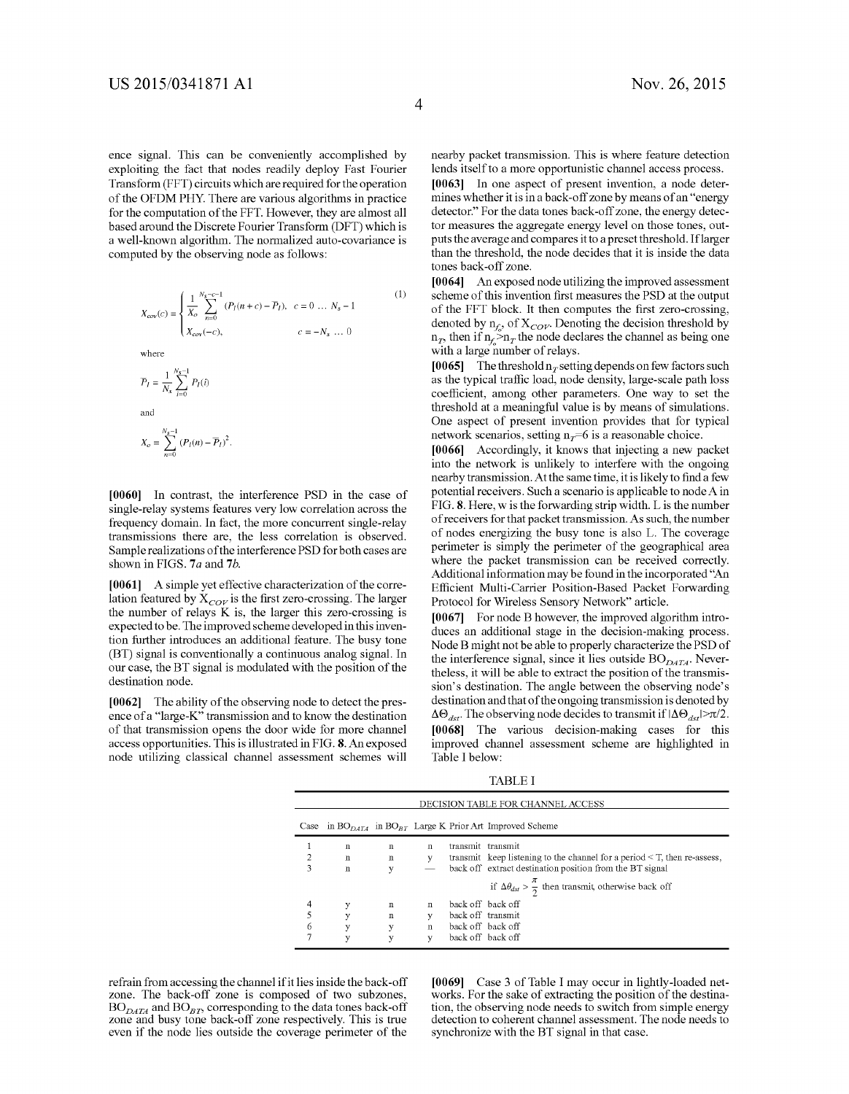ence signal. This can be conveniently accomplished by exploiting the fact that nodes readily deploy Fast Fourier Transform (FFT) circuits which are required for the operation of the OFDM PHY. There are various algorithms in practice for the computation of the FFT. However, they are almost all based around the Discrete Fourier Transform (DFT) which is a well-known algorithm. The normalized auto-covariance is computed by the observing node as follows:

$$
X_{cov}(c) = \begin{cases} \frac{1}{X_o} \sum_{n=0}^{N_s - c - 1} (P_I(n + c) - \overline{P}_I), & c = 0 \dots N_s - 1\\ X_{cov}(-c), & c = -N_s \dots 0 \end{cases}
$$
 (1)  
where  

$$
\overline{P}_I = \frac{1}{N_s} \sum_{i=0}^{N_s - 1} P_I(i)
$$
 and

$$
X_o = \sum_{n=0}^{N_s - 1} (P_I(n) - \overline{P}_I)^2.
$$

[0060] In contrast, the interference PSD in the case of single-relay systems features very low correlation across the frequency domain. In fact, the more concurrent single-relay transmissions there are, the less correlation is observed. Sample realizations of the interference PSD for both cases are shown in FIGS. 7a and 7b.

[0061] A simple yet effective characterization of the correlation featured by  $X_{COV}$  is the first zero-crossing. The larger the number of relays K is, the larger this zero-crossing is expected to be. The improved scheme developed in this inven tion further introduces an additional feature. The busy tone (BT) signal is conventionally a continuous analog signal. In our case, the BT signal is modulated with the position of the destination node.

[0062] The ability of the observing node to detect the presence of a "large-K" transmission and to know the destination of that transmission opens the door wide for more channel access opportunities. This is illustrated in FIG.8. An exposed node utilizing classical channel assessment schemes will nearby packet transmission. This is where feature detection lends itself to a more opportunistic channel access process.

[0063] In one aspect of present invention, a node determines whether it is in a back-off Zone by means of an "energy detector." For the data tones back-off Zone, the energy detec tor measures the aggregate energy level on those tones, out puts the average and compares it to a preset threshold. If larger than the threshold, the node decides that it is inside the data tones back-off Zone.

[0064] An exposed node utilizing the improved assessment scheme of this invention first measures the PSD at the output of the FFT block. It then computes the first zero-crossing, denoted by  $n_f$ , of  $X_{COV}$ . Denoting the decision threshold by  $n_T$ , then if  $n_f > n_T$  the node declares the channel as being one with a large number of relays.

[0065] The threshold  $n_T$  setting depends on few factors such as the typical traffic load, node density, large-scale path loss coefficient, among other parameters. One way to set the threshold at a meaningful value is by means of simulations. One aspect of present invention provides that for typical network scenarios, setting  $n<sub>T</sub>=6$  is a reasonable choice.

[0066] Accordingly, it knows that injecting a new packet into the network is unlikely to interfere with the ongoing nearby transmission. At the same time, it is likely to find a few potential receivers. Such a scenario is applicable to node A in FIG.8. Here, w is the forwarding strip width. L is the number of receivers for that packet transmission. As such, the number perimeter is simply the perimeter of the geographical area where the packet transmission can be received correctly. Additional information may be found in the incorporated "An Efficient Multi-Carrier Position-Based Packet Forwarding Protocol for Wireless Sensory Network" article.

[0067] For node B however, the improved algorithm introduces an additional stage in the decision-making process. Node B might not be able to properly characterize the PSD of the interference signal, since it lies outside  $BO_{DATA}$ . Nevertheless, it will be able to extract the position of the transmis sion's destination. The angle between the observing node's destination and that of the ongoing transmission is denoted by  $\Delta\Theta_{dst}$ . The observing node decides to transmit if  $|\Delta\Theta_{dst}| > \pi/2$ . [0068] The various decision-making cases for this improved channel assessment scheme are highlighted in Table I below:

TABLE I

|   | DECISION TABLE FOR CHANNEL ACCESS |             |              |                   |                                                                               |  |
|---|-----------------------------------|-------------|--------------|-------------------|-------------------------------------------------------------------------------|--|
|   |                                   |             |              |                   | Case in $BO_{D4TA}$ in $BO_{BT}$ Large K Prior Art Improved Scheme            |  |
|   | n                                 | $\mathbf n$ | n            | transmit transmit |                                                                               |  |
|   | $\mathbf n$                       | $\mathbf n$ | y            |                   | transmit keep listening to the channel for a period $\leq$ T, then re-assess, |  |
| 3 | $\mathbf n$                       | y           |              |                   | back off extract destination position from the BT signal                      |  |
|   |                                   |             |              |                   | if $\Delta \theta_{dsr} > \frac{\pi}{2}$ then transmit, otherwise back off    |  |
| 4 | у                                 | $\mathbf n$ | $\mathbf n$  | back off back off |                                                                               |  |
|   | y                                 | $\mathbf n$ | $\mathbf{v}$ | back off transmit |                                                                               |  |
| 6 | y                                 | у           | $\mathbf n$  | back off back off |                                                                               |  |
|   | у                                 |             | v            | back off back off |                                                                               |  |

refrain from accessing the channel if it lies inside the back-off zone. The back-off zone is composed of two subzones,  $BO_{DATA}$  and  $BO_{BT}$ , corresponding to the data tones back-off zone and busy tone back-off zone respectively. This is true even if the node lies outside the coverage perimeter of the [0069] Case 3 of Table I may occur in lightly-loaded networks. For the sake of extracting the position of the destination, the observing node needs to switch from simple energy detection to coherent channel assessment. The node needs to synchronize with the BT signal in that case.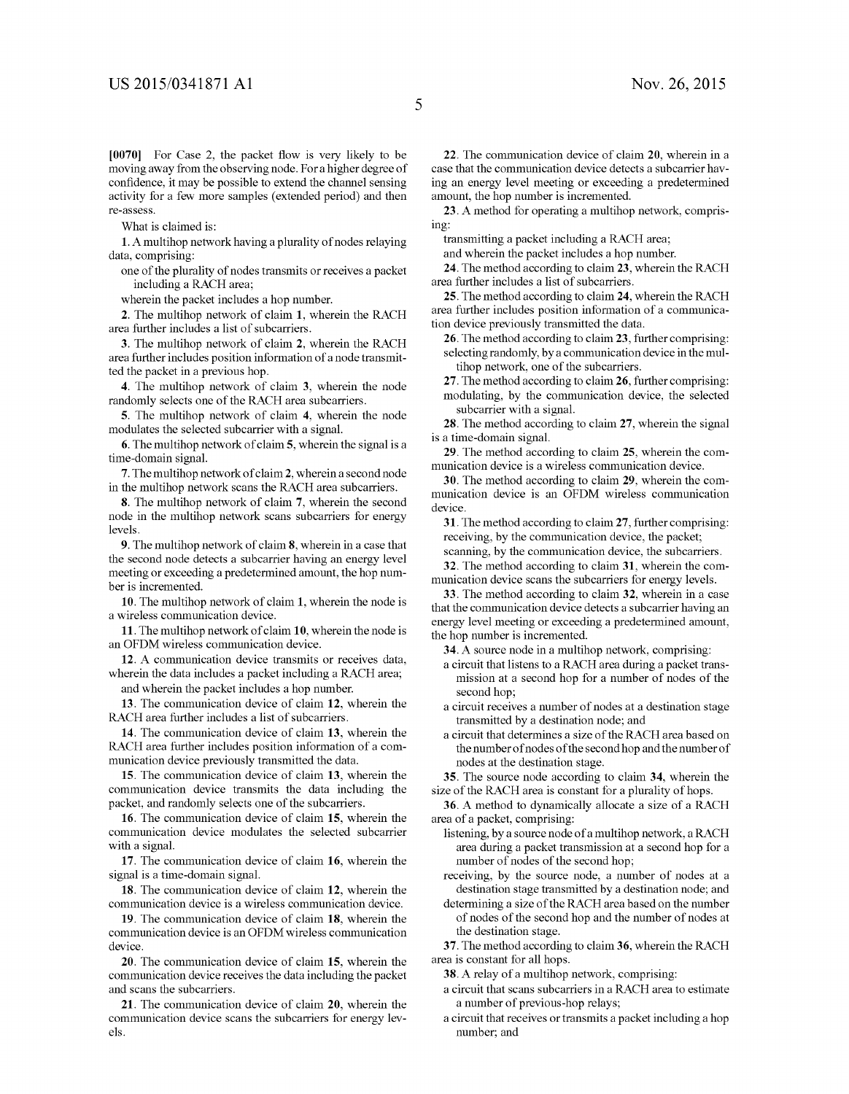[0070] For Case 2, the packet flow is very likely to be moving away from the observing node. For a higher degree of confidence, it may be possible to extend the channel sensing activity for a few more samples (extended period) and then re-assess

What is claimed is:

1. A multihop network having a plurality of nodes relaying data, comprising:

one of the plurality of nodes transmits or receives a packet including a RACH area;

wherein the packet includes a hop number.

2. The multihop network of claim 1, wherein the RACH area further includes a list of subcarriers.

3. The multihop network of claim 2, wherein the RACH area further includes position information of a node transmitted the packet in a previous hop.

4. The multihop network of claim 3, wherein the node randomly selects one of the RACH area subcarriers.

5. The multihop network of claim 4, wherein the node modulates the selected subcarrier with a signal.

6. The multihop network of claim 5, wherein the signal is a time-domain signal.

7. The multihop network of claim 2, wherein a second node in the multihop network scans the RACH area subcarriers.

8. The multihop network of claim 7, wherein the second node in the multihop network scans subcarriers for energy levels

9. The multihop network of claim 8, wherein in a case that the second node detects a subcarrier having an energy level meeting or exceeding a predetermined amount, the hop number is incremented.

10. The multihop network of claim 1, wherein the node is a wireless communication device.

11. The multihop network of claim 10, wherein the node is an OFDM wireless communication device.

12. A communication device transmits or receives data, wherein the data includes a packet including a RACH area;

and wherein the packet includes a hop number.

13. The communication device of claim 12, wherein the RACH area further includes a list of subcarriers.

14. The communication device of claim 13, wherein the RACH area further includes position information of a communication device previously transmitted the data.

15. The communication device of claim 13, wherein the communication device transmits the data including the packet, and randomly selects one of the subcarriers.

16. The communication device of claim 15, wherein the communication device modulates the selected subcarrier with a signal.

17. The communication device of claim 16, wherein the signal is a time-domain signal.

18. The communication device of claim 12, wherein the communication device is a wireless communication device.

19. The communication device of claim 18, wherein the communication device is an OFDM wireless communication device.

20. The communication device of claim 15, wherein the communication device receives the data including the packet and scans the subcarriers.

21. The communication device of claim 20, wherein the communication device scans the subcarriers for energy levels.

22. The communication device of claim 20, wherein in a case that the communication device detects a subcarrier having an energy level meeting or exceeding a predetermined amount, the hop number is incremented.

23. A method for operating a multihop network, compris $ing:$ 

transmitting a packet including a RACH area;

and wherein the packet includes a hop number.

24. The method according to claim 23, wherein the RACH area further includes a list of subcarriers.

25. The method according to claim 24, wherein the RACH area further includes position information of a communication device previously transmitted the data.

26. The method according to claim 23, further comprising: selecting randomly, by a communication device in the multihop network, one of the subcarriers.

27. The method according to claim 26, further comprising: modulating, by the communication device, the selected subcarrier with a signal.

28. The method according to claim 27, wherein the signal is a time-domain signal.

29. The method according to claim 25, wherein the communication device is a wireless communication device.

30. The method according to claim 29, wherein the communication device is an OFDM wireless communication device.

31. The method according to claim 27, further comprising: receiving, by the communication device, the packet;

scanning, by the communication device, the subcarriers.

32. The method according to claim 31, wherein the communication device scans the subcarriers for energy levels.

33. The method according to claim 32, wherein in a case that the communication device detects a subcarrier having an energy level meeting or exceeding a predetermined amount, the hop number is incremented.

34. A source node in a multihop network, comprising:

- a circuit that listens to a RACH area during a packet transmission at a second hop for a number of nodes of the second hop;
- a circuit receives a number of nodes at a destination stage transmitted by a destination node; and
- a circuit that determines a size of the RACH area based on the number of nodes of the second hop and the number of nodes at the destination stage.

35. The source node according to claim 34, wherein the size of the RACH area is constant for a plurality of hops.

36. A method to dynamically allocate a size of a RACH area of a packet, comprising:

listening, by a source node of a multihop network, a RACH area during a packet transmission at a second hop for a number of nodes of the second hop;

receiving, by the source node, a number of nodes at a destination stage transmitted by a destination node; and

determining a size of the RACH area based on the number of nodes of the second hop and the number of nodes at the destination stage.

37. The method according to claim 36, wherein the RACH area is constant for all hops.

38. A relay of a multihop network, comprising:

- a circuit that scans subcarriers in a RACH area to estimate a number of previous-hop relays;
- a circuit that receives or transmits a packet including a hop number: and